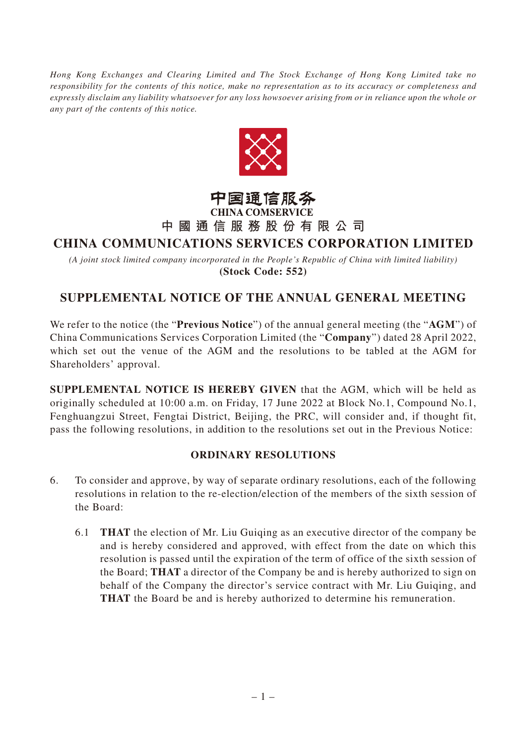*Hong Kong Exchanges and Clearing Limited and The Stock Exchange of Hong Kong Limited take no responsibility for the contents of this notice, make no representation as to its accuracy or completeness and expressly disclaim any liability whatsoever for any loss howsoever arising from or in reliance upon the whole or any part of the contents of this notice.*



#### 中国通信服务 **CHINA COMSERVICE**

# **中國通信服務股份有限公司**

## **CHINA COMMUNICATIONS SERVICES CORPORATION LIMITED**

*(A joint stock limited company incorporated in the People's Republic of China with limited liability)* **(Stock Code: 552)**

### **SUPPLEMENTAL NOTICE OF THE ANNUAL GENERAL MEETING**

We refer to the notice (the "**Previous Notice**") of the annual general meeting (the "**AGM**") of China Communications Services Corporation Limited (the "**Company**") dated 28 April 2022, which set out the venue of the AGM and the resolutions to be tabled at the AGM for Shareholders' approval.

**SUPPLEMENTAL NOTICE IS HEREBY GIVEN** that the AGM, which will be held as originally scheduled at 10:00 a.m. on Friday, 17 June 2022 at Block No.1, Compound No.1, Fenghuangzui Street, Fengtai District, Beijing, the PRC, will consider and, if thought fit, pass the following resolutions, in addition to the resolutions set out in the Previous Notice:

### **ORDINARY RESOLUTIONS**

- 6. To consider and approve, by way of separate ordinary resolutions, each of the following resolutions in relation to the re-election/election of the members of the sixth session of the Board:
	- 6.1 **THAT** the election of Mr. Liu Guiqing as an executive director of the company be and is hereby considered and approved, with effect from the date on which this resolution is passed until the expiration of the term of office of the sixth session of the Board; **THAT** a director of the Company be and is hereby authorized to sign on behalf of the Company the director's service contract with Mr. Liu Guiqing, and **THAT** the Board be and is hereby authorized to determine his remuneration.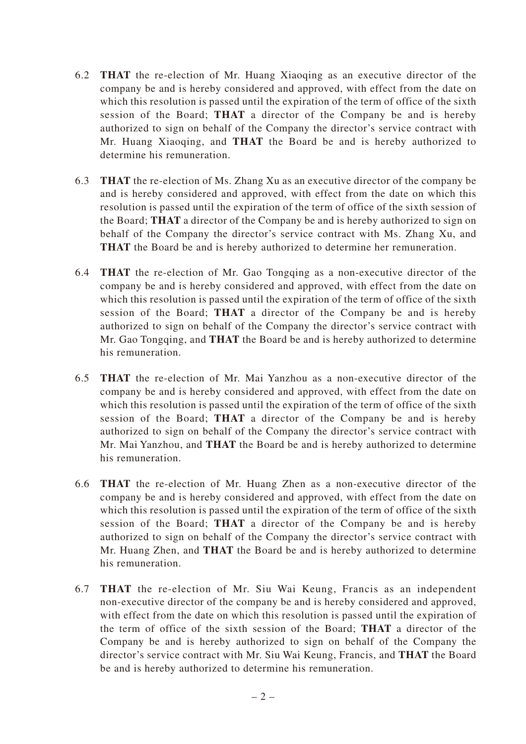- 6.2 **THAT** the re-election of Mr. Huang Xiaoqing as an executive director of the company be and is hereby considered and approved, with effect from the date on which this resolution is passed until the expiration of the term of office of the sixth session of the Board; **THAT** a director of the Company be and is hereby authorized to sign on behalf of the Company the director's service contract with Mr. Huang Xiaoqing, and **THAT** the Board be and is hereby authorized to determine his remuneration.
- 6.3 **THAT** the re-election of Ms. Zhang Xu as an executive director of the company be and is hereby considered and approved, with effect from the date on which this resolution is passed until the expiration of the term of office of the sixth session of the Board; **THAT** a director of the Company be and is hereby authorized to sign on behalf of the Company the director's service contract with Ms. Zhang Xu, and **THAT** the Board be and is hereby authorized to determine her remuneration.
- 6.4 **THAT** the re-election of Mr. Gao Tongqing as a non-executive director of the company be and is hereby considered and approved, with effect from the date on which this resolution is passed until the expiration of the term of office of the sixth session of the Board; **THAT** a director of the Company be and is hereby authorized to sign on behalf of the Company the director's service contract with Mr. Gao Tongqing, and **THAT** the Board be and is hereby authorized to determine his remuneration.
- 6.5 **THAT** the re-election of Mr. Mai Yanzhou as a non-executive director of the company be and is hereby considered and approved, with effect from the date on which this resolution is passed until the expiration of the term of office of the sixth session of the Board; **THAT** a director of the Company be and is hereby authorized to sign on behalf of the Company the director's service contract with Mr. Mai Yanzhou, and **THAT** the Board be and is hereby authorized to determine his remuneration.
- 6.6 **THAT** the re-election of Mr. Huang Zhen as a non-executive director of the company be and is hereby considered and approved, with effect from the date on which this resolution is passed until the expiration of the term of office of the sixth session of the Board; **THAT** a director of the Company be and is hereby authorized to sign on behalf of the Company the director's service contract with Mr. Huang Zhen, and **THAT** the Board be and is hereby authorized to determine his remuneration.
- 6.7 **THAT** the re-election of Mr. Siu Wai Keung, Francis as an independent non-executive director of the company be and is hereby considered and approved, with effect from the date on which this resolution is passed until the expiration of the term of office of the sixth session of the Board; **THAT** a director of the Company be and is hereby authorized to sign on behalf of the Company the director's service contract with Mr. Siu Wai Keung, Francis, and **THAT** the Board be and is hereby authorized to determine his remuneration.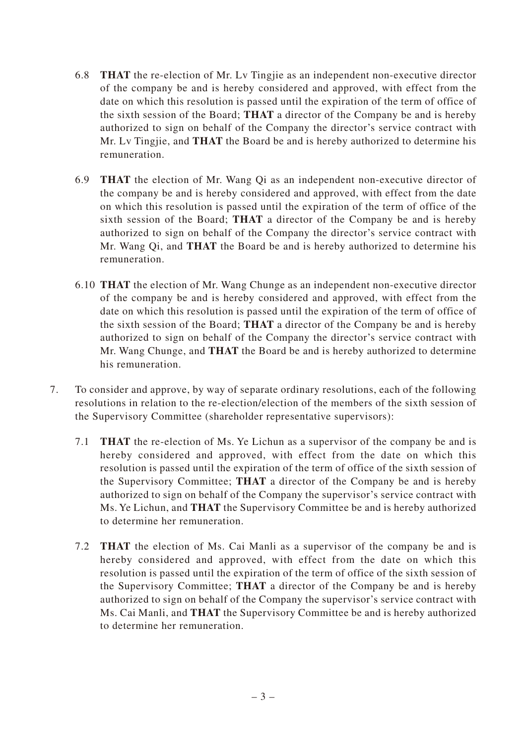- 6.8 **THAT** the re-election of Mr. Lv Tingjie as an independent non-executive director of the company be and is hereby considered and approved, with effect from the date on which this resolution is passed until the expiration of the term of office of the sixth session of the Board; **THAT** a director of the Company be and is hereby authorized to sign on behalf of the Company the director's service contract with Mr. Lv Tingjie, and **THAT** the Board be and is hereby authorized to determine his remuneration.
- 6.9 **THAT** the election of Mr. Wang Qi as an independent non-executive director of the company be and is hereby considered and approved, with effect from the date on which this resolution is passed until the expiration of the term of office of the sixth session of the Board; **THAT** a director of the Company be and is hereby authorized to sign on behalf of the Company the director's service contract with Mr. Wang Qi, and **THAT** the Board be and is hereby authorized to determine his remuneration.
- 6.10 **THAT** the election of Mr. Wang Chunge as an independent non-executive director of the company be and is hereby considered and approved, with effect from the date on which this resolution is passed until the expiration of the term of office of the sixth session of the Board; **THAT** a director of the Company be and is hereby authorized to sign on behalf of the Company the director's service contract with Mr. Wang Chunge, and **THAT** the Board be and is hereby authorized to determine his remuneration.
- 7. To consider and approve, by way of separate ordinary resolutions, each of the following resolutions in relation to the re-election/election of the members of the sixth session of the Supervisory Committee (shareholder representative supervisors):
	- 7.1 **THAT** the re-election of Ms. Ye Lichun as a supervisor of the company be and is hereby considered and approved, with effect from the date on which this resolution is passed until the expiration of the term of office of the sixth session of the Supervisory Committee; **THAT** a director of the Company be and is hereby authorized to sign on behalf of the Company the supervisor's service contract with Ms. Ye Lichun, and **THAT** the Supervisory Committee be and is hereby authorized to determine her remuneration.
	- 7.2 **THAT** the election of Ms. Cai Manli as a supervisor of the company be and is hereby considered and approved, with effect from the date on which this resolution is passed until the expiration of the term of office of the sixth session of the Supervisory Committee; **THAT** a director of the Company be and is hereby authorized to sign on behalf of the Company the supervisor's service contract with Ms. Cai Manli, and **THAT** the Supervisory Committee be and is hereby authorized to determine her remuneration.